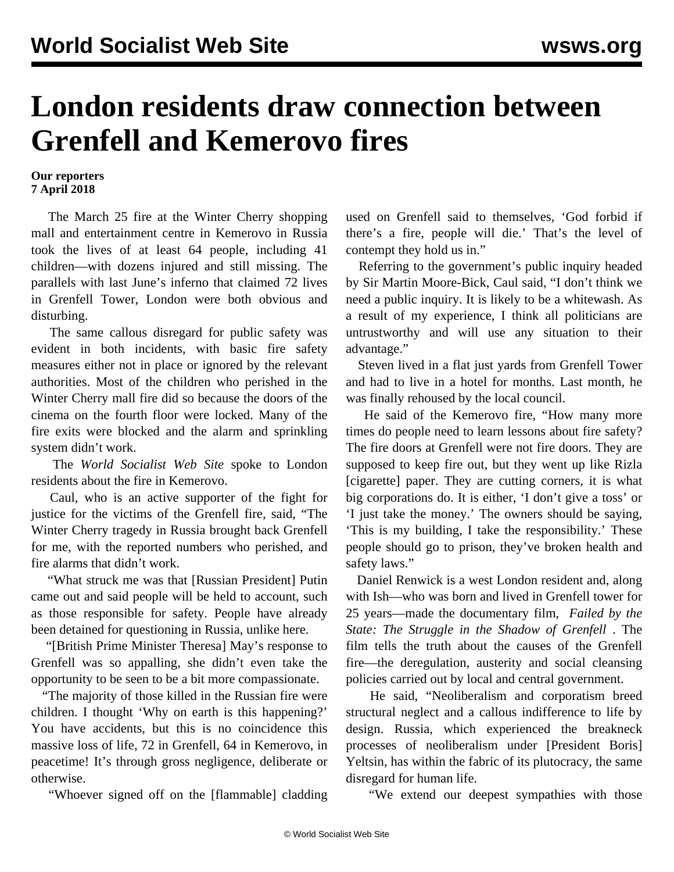## **London residents draw connection between Grenfell and Kemerovo fires**

## **Our reporters 7 April 2018**

 The March 25 fire at the Winter Cherry shopping mall and entertainment centre in Kemerovo in Russia took the lives of at least 64 people, including 41 children—with dozens injured and still missing. The parallels with last June's inferno that claimed 72 lives in Grenfell Tower, London were both obvious and disturbing.

 The same callous disregard for public safety was evident in both incidents, with basic fire safety measures either not in place or ignored by the relevant authorities. Most of the children who perished in the Winter Cherry mall fire did so because the doors of the cinema on the fourth floor were locked. Many of the fire exits were blocked and the alarm and sprinkling system didn't work.

 The *World Socialist Web Site* spoke to London residents about the fire in Kemerovo.

 Caul, who is an active supporter of the fight for justice for the victims of the Grenfell fire, said, "The Winter Cherry tragedy in Russia brought back Grenfell for me, with the reported numbers who perished, and fire alarms that didn't work.

 "What struck me was that [Russian President] Putin came out and said people will be held to account, such as those responsible for safety. People have already been detained for questioning in Russia, unlike here.

 "[British Prime Minister Theresa] May's response to Grenfell was so appalling, she didn't even take the opportunity to be seen to be a bit more compassionate.

 "The majority of those killed in the Russian fire were children. I thought 'Why on earth is this happening?' You have accidents, but this is no coincidence this massive loss of life, 72 in Grenfell, 64 in Kemerovo, in peacetime! It's through gross negligence, deliberate or otherwise.

"Whoever signed off on the [flammable] cladding

used on Grenfell said to themselves, 'God forbid if there's a fire, people will die.' That's the level of contempt they hold us in."

 Referring to the government's public inquiry headed by Sir Martin Moore-Bick, Caul said, "I don't think we need a public inquiry. It is likely to be a whitewash. As a result of my experience, I think all politicians are untrustworthy and will use any situation to their advantage."

 Steven lived in a flat just yards from Grenfell Tower and had to live in a hotel for months. Last month, he was finally rehoused by the local council.

 He said of the Kemerovo fire, "How many more times do people need to learn lessons about fire safety? The fire doors at Grenfell were not fire doors. They are supposed to keep fire out, but they went up like Rizla [cigarette] paper. They are cutting corners, it is what big corporations do. It is either, 'I don't give a toss' or 'I just take the money.' The owners should be saying, 'This is my building, I take the responsibility.' These people should go to prison, they've broken health and safety laws."

 Daniel Renwick is a west London resident and, along with Ish—who was born and lived in Grenfell tower for 25 years—made the documentary film, *[Failed by the](/en/articles/2017/12/14/fail-d14.html) [State: The Struggle in the Shadow of Grenfell](/en/articles/2017/12/14/fail-d14.html)* . The film tells the truth about the causes of the Grenfell fire—the deregulation, austerity and social cleansing policies carried out by local and central government.

 He said, "Neoliberalism and corporatism breed structural neglect and a callous indifference to life by design. Russia, which experienced the breakneck processes of neoliberalism under [President Boris] Yeltsin, has within the fabric of its plutocracy, the same disregard for human life.

"We extend our deepest sympathies with those